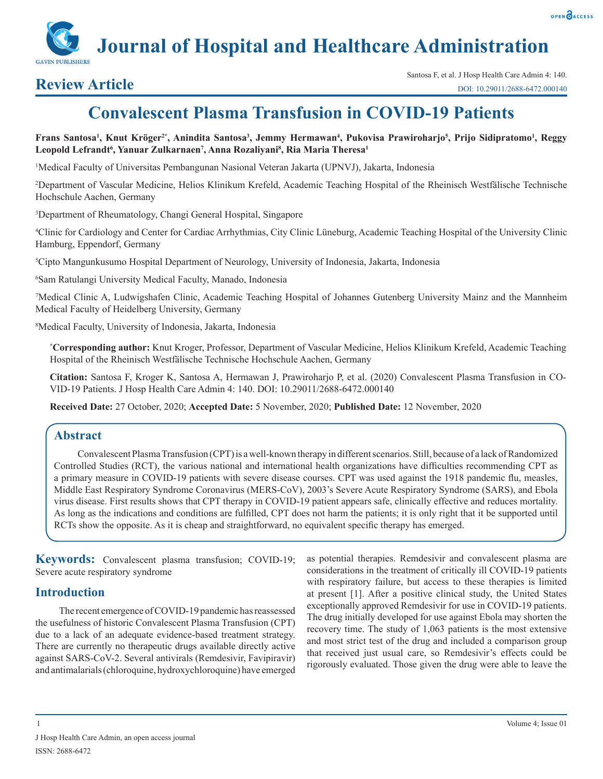

# **Convalescent Plasma Transfusion in COVID-19 Patients**

**Frans Santosa1 , Knut Kröger2\*, Anindita Santosa3 , Jemmy Hermawan4 , Pukovisa Prawiroharjo5 , Prijo Sidipratomo1 , Reggy Leopold Lefrandt6 , Yanuar Zulkarnaen7 , Anna Rozaliyani8 , Ria Maria Theresa1**

1 Medical Faculty of Universitas Pembangunan Nasional Veteran Jakarta (UPNVJ), Jakarta, Indonesia

2 Department of Vascular Medicine, Helios Klinikum Krefeld, Academic Teaching Hospital of the Rheinisch Westfälische Technische Hochschule Aachen, Germany

3 Department of Rheumatology, Changi General Hospital, Singapore

4 Clinic for Cardiology and Center for Cardiac Arrhythmias, City Clinic Lüneburg, Academic Teaching Hospital of the University Clinic Hamburg, Eppendorf, Germany

5 Cipto Mangunkusumo Hospital Department of Neurology, University of Indonesia, Jakarta, Indonesia

6 Sam Ratulangi University Medical Faculty, Manado, Indonesia

7 Medical Clinic A, Ludwigshafen Clinic, Academic Teaching Hospital of Johannes Gutenberg University Mainz and the Mannheim Medical Faculty of Heidelberg University, Germany

8 Medical Faculty, University of Indonesia, Jakarta, Indonesia

**\* Corresponding author:** Knut Kroger, Professor, Department of Vascular Medicine, Helios Klinikum Krefeld, Academic Teaching Hospital of the Rheinisch Westfälische Technische Hochschule Aachen, Germany

**Citation:** Santosa F, Kroger K, Santosa A, Hermawan J, Prawiroharjo P, et al. (2020) Convalescent Plasma Transfusion in CO-VID-19 Patients. J Hosp Health Care Admin 4: 140. DOI: 10.29011/2688-6472.000140

**Received Date:** 27 October, 2020; **Accepted Date:** 5 November, 2020; **Published Date:** 12 November, 2020

# **Abstract**

Convalescent Plasma Transfusion (CPT) is a well-known therapy in different scenarios. Still, because of a lack of Randomized Controlled Studies (RCT), the various national and international health organizations have difficulties recommending CPT as a primary measure in COVID-19 patients with severe disease courses. CPT was used against the 1918 pandemic flu, measles, Middle East Respiratory Syndrome Coronavirus (MERS-CoV), 2003's Severe Acute Respiratory Syndrome (SARS), and Ebola virus disease. First results shows that CPT therapy in COVID-19 patient appears safe, clinically effective and reduces mortality. As long as the indications and conditions are fulfilled, CPT does not harm the patients; it is only right that it be supported until RCTs show the opposite. As it is cheap and straightforward, no equivalent specific therapy has emerged.

**Keywords:** Convalescent plasma transfusion; COVID-19; Severe acute respiratory syndrome

# **Introduction**

The recent emergence of COVID-19 pandemic has reassessed the usefulness of historic Convalescent Plasma Transfusion (CPT) due to a lack of an adequate evidence-based treatment strategy. There are currently no therapeutic drugs available directly active against SARS-CoV-2. Several antivirals (Remdesivir, Favipiravir) and antimalarials (chloroquine, hydroxychloroquine) have emerged as potential therapies. Remdesivir and convalescent plasma are considerations in the treatment of critically ill COVID-19 patients with respiratory failure, but access to these therapies is limited at present [1]. After a positive clinical study, the United States exceptionally approved Remdesivir for use in COVID-19 patients. The drug initially developed for use against Ebola may shorten the recovery time. The study of 1,063 patients is the most extensive and most strict test of the drug and included a comparison group that received just usual care, so Remdesivir's effects could be rigorously evaluated. Those given the drug were able to leave the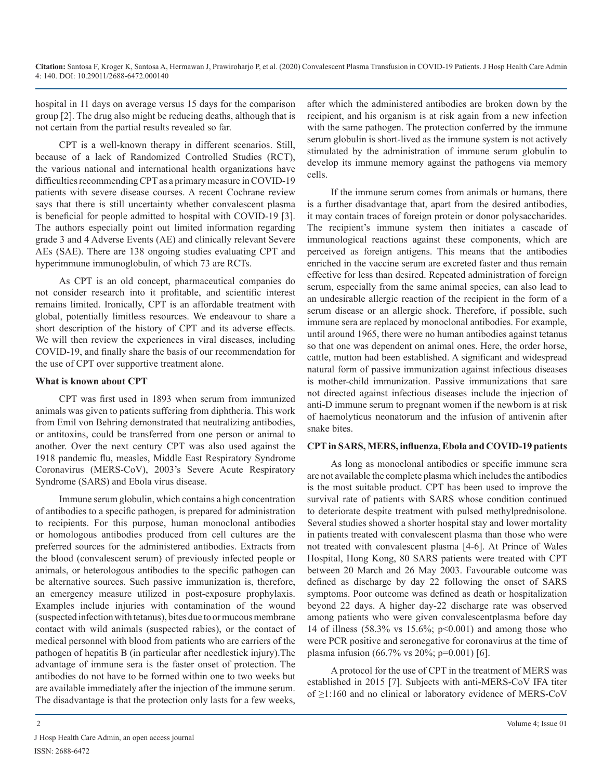hospital in 11 days on average versus 15 days for the comparison group [2]. The drug also might be reducing deaths, although that is not certain from the partial results revealed so far.

CPT is a well-known therapy in different scenarios. Still, because of a lack of Randomized Controlled Studies (RCT), the various national and international health organizations have difficulties recommending CPT as a primary measure in COVID-19 patients with severe disease courses. A recent Cochrane review says that there is still uncertainty whether convalescent plasma is beneficial for people admitted to hospital with COVID-19 [3]. The authors especially point out limited information regarding grade 3 and 4 Adverse Events (AE) and clinically relevant Severe AEs (SAE). There are 138 ongoing studies evaluating CPT and hyperimmune immunoglobulin, of which 73 are RCTs.

As CPT is an old concept, pharmaceutical companies do not consider research into it profitable, and scientific interest remains limited. Ironically, CPT is an affordable treatment with global, potentially limitless resources. We endeavour to share a short description of the history of CPT and its adverse effects. We will then review the experiences in viral diseases, including COVID-19, and finally share the basis of our recommendation for the use of CPT over supportive treatment alone.

#### **What is known about CPT**

CPT was first used in 1893 when serum from immunized animals was given to patients suffering from diphtheria. This work from Emil von Behring demonstrated that neutralizing antibodies, or antitoxins, could be transferred from one person or animal to another. Over the next century CPT was also used against the 1918 pandemic flu, measles, Middle East Respiratory Syndrome Coronavirus (MERS-CoV), 2003's Severe Acute Respiratory Syndrome (SARS) and Ebola virus disease.

Immune serum globulin, which contains a high concentration of antibodies to a specific pathogen, is prepared for administration to recipients. For this purpose, human monoclonal antibodies or homologous antibodies produced from cell cultures are the preferred sources for the administered antibodies. Extracts from the blood (convalescent serum) of previously infected people or animals, or heterologous antibodies to the specific pathogen can be alternative sources. Such passive immunization is, therefore, an emergency measure utilized in post-exposure prophylaxis. Examples include injuries with contamination of the wound (suspected infection with tetanus), bites due to or mucous membrane contact with wild animals (suspected rabies), or the contact of medical personnel with blood from patients who are carriers of the pathogen of hepatitis B (in particular after needlestick injury).The advantage of immune sera is the faster onset of protection. The antibodies do not have to be formed within one to two weeks but are available immediately after the injection of the immune serum. The disadvantage is that the protection only lasts for a few weeks, after which the administered antibodies are broken down by the recipient, and his organism is at risk again from a new infection with the same pathogen. The protection conferred by the immune serum globulin is short-lived as the immune system is not actively stimulated by the administration of immune serum globulin to develop its immune memory against the pathogens via memory cells.

If the immune serum comes from animals or humans, there is a further disadvantage that, apart from the desired antibodies, it may contain traces of foreign protein or donor polysaccharides. The recipient's immune system then initiates a cascade of immunological reactions against these components, which are perceived as foreign antigens. This means that the antibodies enriched in the vaccine serum are excreted faster and thus remain effective for less than desired. Repeated administration of foreign serum, especially from the same animal species, can also lead to an undesirable allergic reaction of the recipient in the form of a serum disease or an allergic shock. Therefore, if possible, such immune sera are replaced by monoclonal antibodies. For example, until around 1965, there were no human antibodies against tetanus so that one was dependent on animal ones. Here, the order horse, cattle, mutton had been established. A significant and widespread natural form of passive immunization against infectious diseases is mother-child immunization. Passive immunizations that sare not directed against infectious diseases include the injection of anti-D immune serum to pregnant women if the newborn is at risk of haemolyticus neonatorum and the infusion of antivenin after snake bites.

### **CPT in SARS, MERS, influenza, Ebola and COVID-19 patients**

As long as monoclonal antibodies or specific immune sera are not available the complete plasma which includes the antibodies is the most suitable product. CPT has been used to improve the survival rate of patients with SARS whose condition continued to deteriorate despite treatment with pulsed methylprednisolone. Several studies showed a shorter hospital stay and lower mortality in patients treated with convalescent plasma than those who were not treated with convalescent plasma [4-6]. At Prince of Wales Hospital, Hong Kong, 80 SARS patients were treated with CPT between 20 March and 26 May 2003. Favourable outcome was defined as discharge by day 22 following the onset of SARS symptoms. Poor outcome was defined as death or hospitalization beyond 22 days. A higher day-22 discharge rate was observed among patients who were given convalescentplasma before day 14 of illness (58.3% vs 15.6%; p<0.001) and among those who were PCR positive and seronegative for coronavirus at the time of plasma infusion (66.7% vs 20%; p=0.001) [6].

A protocol for the use of CPT in the treatment of MERS was established in 2015 [7]. Subjects with anti-MERS-CoV IFA titer of ≥1:160 and no clinical or laboratory evidence of MERS-CoV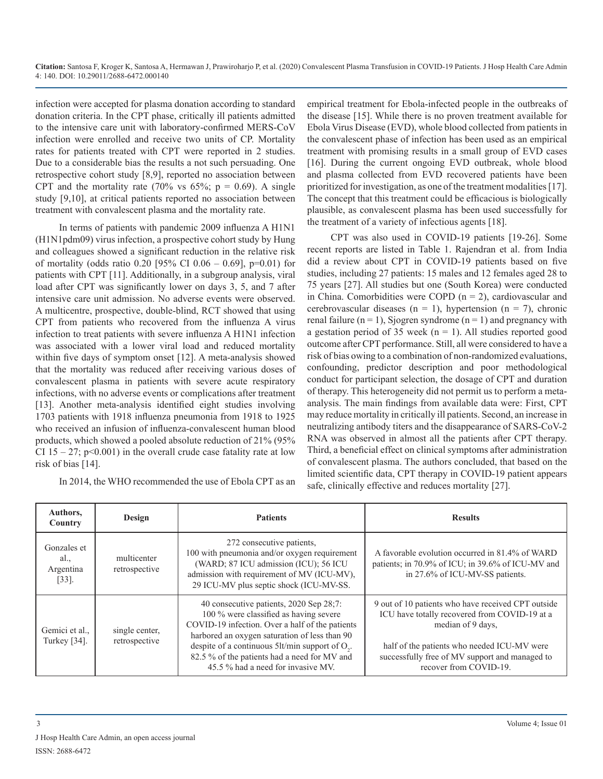infection were accepted for plasma donation according to standard donation criteria. In the CPT phase, critically ill patients admitted to the intensive care unit with laboratory-confirmed MERS-CoV infection were enrolled and receive two units of CP. Mortality rates for patients treated with CPT were reported in 2 studies. Due to a considerable bias the results a not such persuading. One retrospective cohort study [8,9], reported no association between CPT and the mortality rate (70% vs  $65\%$ ; p = 0.69). A single study [9,10], at critical patients reported no association between treatment with convalescent plasma and the mortality rate.

In terms of patients with pandemic 2009 influenza A H1N1 (H1N1pdm09) virus infection, a prospective cohort study by Hung and colleagues showed a significant reduction in the relative risk of mortality (odds ratio 0.20 [95% CI 0.06 – 0.69], p=0.01) for patients with CPT [11]. Additionally, in a subgroup analysis, viral load after CPT was significantly lower on days 3, 5, and 7 after intensive care unit admission. No adverse events were observed. A multicentre, prospective, double-blind, RCT showed that using CPT from patients who recovered from the influenza A virus infection to treat patients with severe influenza A H1N1 infection was associated with a lower viral load and reduced mortality within five days of symptom onset [12]. A meta-analysis showed that the mortality was reduced after receiving various doses of convalescent plasma in patients with severe acute respiratory infections, with no adverse events or complications after treatment [13]. Another meta-analysis identified eight studies involving 1703 patients with 1918 influenza pneumonia from 1918 to 1925 who received an infusion of influenza-convalescent human blood products, which showed a pooled absolute reduction of 21% (95% CI 15 – 27;  $p<0.001$ ) in the overall crude case fatality rate at low risk of bias [14].

In 2014, the WHO recommended the use of Ebola CPT as an

empirical treatment for Ebola-infected people in the outbreaks of the disease [15]. While there is no proven treatment available for Ebola Virus Disease (EVD), whole blood collected from patients in the convalescent phase of infection has been used as an empirical treatment with promising results in a small group of EVD cases [16]. During the current ongoing EVD outbreak, whole blood and plasma collected from EVD recovered patients have been prioritized for investigation, as one of the treatment modalities [17]. The concept that this treatment could be efficacious is biologically plausible, as convalescent plasma has been used successfully for the treatment of a variety of infectious agents [18].

CPT was also used in COVID-19 patients [19-26]. Some recent reports are listed in Table 1. Rajendran et al. from India did a review about CPT in COVID-19 patients based on five studies, including 27 patients: 15 males and 12 females aged 28 to 75 years [27]. All studies but one (South Korea) were conducted in China. Comorbidities were COPD  $(n = 2)$ , cardiovascular and cerebrovascular diseases ( $n = 1$ ), hypertension ( $n = 7$ ), chronic renal failure  $(n = 1)$ , Sjogren syndrome  $(n = 1)$  and pregnancy with a gestation period of 35 week ( $n = 1$ ). All studies reported good outcome after CPT performance. Still, all were considered to have a risk of bias owing to a combination of non-randomized evaluations, confounding, predictor description and poor methodological conduct for participant selection, the dosage of CPT and duration of therapy. This heterogeneity did not permit us to perform a metaanalysis. The main findings from available data were: First, CPT may reduce mortality in critically ill patients. Second, an increase in neutralizing antibody titers and the disappearance of SARS-CoV-2 RNA was observed in almost all the patients after CPT therapy. Third, a beneficial effect on clinical symptoms after administration of convalescent plasma. The authors concluded, that based on the limited scientific data, CPT therapy in COVID-19 patient appears safe, clinically effective and reduces mortality [27].

| Authors,<br>Country                                    | Design                          | <b>Patients</b>                                                                                                                                                                                                                                                                                                                     | <b>Results</b>                                                                                                                                                                                                                                      |
|--------------------------------------------------------|---------------------------------|-------------------------------------------------------------------------------------------------------------------------------------------------------------------------------------------------------------------------------------------------------------------------------------------------------------------------------------|-----------------------------------------------------------------------------------------------------------------------------------------------------------------------------------------------------------------------------------------------------|
| Gonzales et<br>al.<br>Argentina<br>$\left[33\right]$ . | multicenter<br>retrospective    | 272 consecutive patients,<br>100 with pneumonia and/or oxygen requirement<br>(WARD; 87 ICU admission (ICU); 56 ICU<br>admission with requirement of MV (ICU-MV),<br>29 ICU-MV plus septic shock (ICU-MV-SS.                                                                                                                         | A favorable evolution occurred in 81.4% of WARD<br>patients; in 70.9% of ICU; in 39.6% of ICU-MV and<br>in 27.6% of ICU-MV-SS patients.                                                                                                             |
| Gemici et al.,<br>Turkey $[34]$ .                      | single center,<br>retrospective | 40 consecutive patients, 2020 Sep 28;7:<br>100 % were classified as having severe<br>COVID-19 infection. Over a half of the patients<br>harbored an oxygen saturation of less than 90<br>despite of a continuous 5lt/min support of $O_{2}$ .<br>82.5 % of the patients had a need for MV and<br>45.5 % had a need for invasive MV. | 9 out of 10 patients who have received CPT outside<br>ICU have totally recovered from COVID-19 at a<br>median of 9 days.<br>half of the patients who needed ICU-MV were<br>successfully free of MV support and managed to<br>recover from COVID-19. |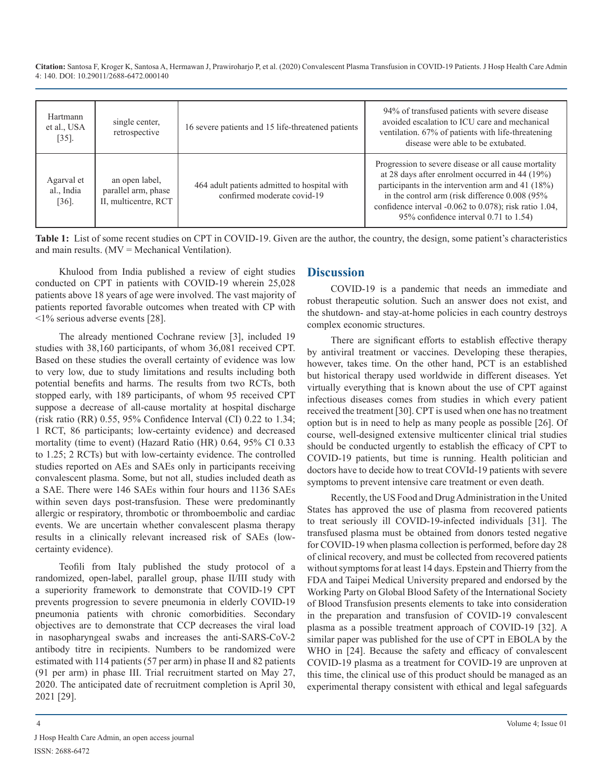**Citation:** Santosa F, Kroger K, Santosa A, Hermawan J, Prawiroharjo P, et al. (2020) Convalescent Plasma Transfusion in COVID-19 Patients. J Hosp Health Care Admin 4: 140. DOI: 10.29011/2688-6472.000140

|                                                 |                                                               |                                                                             | 94% of transfused patients with severe disease                                                                                                                                                                                                                                                                                  |
|-------------------------------------------------|---------------------------------------------------------------|-----------------------------------------------------------------------------|---------------------------------------------------------------------------------------------------------------------------------------------------------------------------------------------------------------------------------------------------------------------------------------------------------------------------------|
| Hartmann<br>et al., USA<br>$\left[35\right]$ .  | single center.<br>retrospective                               | 16 severe patients and 15 life-threatened patients                          | avoided escalation to ICU care and mechanical<br>ventilation. 67% of patients with life-threatening<br>disease were able to be extubated.                                                                                                                                                                                       |
| Agarval et<br>al., India<br>$\left[36\right]$ . | an open label,<br>parallel arm, phase<br>II, multicentre, RCT | 464 adult patients admitted to hospital with<br>confirmed moderate covid-19 | Progression to severe disease or all cause mortality<br>at 28 days after enrolment occurred in 44 $(19%)$<br>participants in the intervention arm and 41 $(18%)$<br>in the control arm (risk difference 0.008 (95%<br>confidence interval $-0.062$ to $0.078$ ); risk ratio 1.04,<br>95% confidence interval $0.71$ to $1.54$ ) |

**Table 1:** List of some recent studies on CPT in COVID-19. Given are the author, the country, the design, some patient's characteristics and main results.  $(MV = Mechanical Ventilation)$ .

Khulood from India published a review of eight studies conducted on CPT in patients with COVID-19 wherein 25,028 patients above 18 years of age were involved. The vast majority of patients reported favorable outcomes when treated with CP with <1% serious adverse events [28].

The already mentioned Cochrane review [3], included 19 studies with 38,160 participants, of whom 36,081 received CPT. Based on these studies the overall certainty of evidence was low to very low, due to study limitations and results including both potential benefits and harms. The results from two RCTs, both stopped early, with 189 participants, of whom 95 received CPT suppose a decrease of all-cause mortality at hospital discharge (risk ratio (RR) 0.55, 95% Confidence Interval (CI) 0.22 to 1.34; 1 RCT, 86 participants; low-certainty evidence) and decreased mortality (time to event) (Hazard Ratio (HR) 0.64, 95% CI 0.33 to 1.25; 2 RCTs) but with low-certainty evidence. The controlled studies reported on AEs and SAEs only in participants receiving convalescent plasma. Some, but not all, studies included death as a SAE. There were 146 SAEs within four hours and 1136 SAEs within seven days post-transfusion. These were predominantly allergic or respiratory, thrombotic or thromboembolic and cardiac events. We are uncertain whether convalescent plasma therapy results in a clinically relevant increased risk of SAEs (lowcertainty evidence).

Teofili from Italy published the study protocol of a randomized, open-label, parallel group, phase II/III study with a superiority framework to demonstrate that COVID-19 CPT prevents progression to severe pneumonia in elderly COVID-19 pneumonia patients with chronic comorbidities. Secondary objectives are to demonstrate that CCP decreases the viral load in nasopharyngeal swabs and increases the anti-SARS-CoV-2 antibody titre in recipients. Numbers to be randomized were estimated with 114 patients (57 per arm) in phase II and 82 patients (91 per arm) in phase III. Trial recruitment started on May 27, 2020. The anticipated date of recruitment completion is April 30, 2021 [29].

# **Discussion**

COVID-19 is a pandemic that needs an immediate and robust therapeutic solution. Such an answer does not exist, and the shutdown- and stay-at-home policies in each country destroys complex economic structures.

There are significant efforts to establish effective therapy by antiviral treatment or vaccines. Developing these therapies, however, takes time. On the other hand, PCT is an established but historical therapy used worldwide in different diseases. Yet virtually everything that is known about the use of CPT against infectious diseases comes from studies in which every patient received the treatment [30]. CPT is used when one has no treatment option but is in need to help as many people as possible [26]. Of course, well-designed extensive multicenter clinical trial studies should be conducted urgently to establish the efficacy of CPT to COVID-19 patients, but time is running. Health politician and doctors have to decide how to treat COVId-19 patients with severe symptoms to prevent intensive care treatment or even death.

Recently, the US Food and Drug Administration in the United States has approved the use of plasma from recovered patients to treat seriously ill COVID-19-infected individuals [31]. The transfused plasma must be obtained from donors tested negative for COVID-19 when plasma collection is performed, before day 28 of clinical recovery, and must be collected from recovered patients without symptoms for at least 14 days. Epstein and Thierry from the FDA and Taipei Medical University prepared and endorsed by the Working Party on Global Blood Safety of the International Society of Blood Transfusion presents elements to take into consideration in the preparation and transfusion of COVID-19 convalescent plasma as a possible treatment approach of COVID-19 [32]. A similar paper was published for the use of CPT in EBOLA by the WHO in [24]. Because the safety and efficacy of convalescent COVID-19 plasma as a treatment for COVID-19 are unproven at this time, the clinical use of this product should be managed as an experimental therapy consistent with ethical and legal safeguards

J Hosp Health Care Admin, an open access journal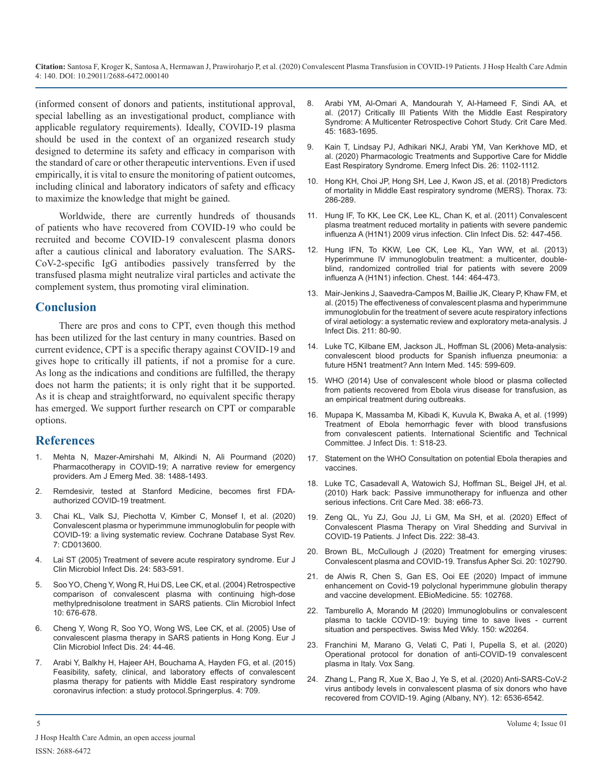**Citation:** Santosa F, Kroger K, Santosa A, Hermawan J, Prawiroharjo P, et al. (2020) Convalescent Plasma Transfusion in COVID-19 Patients. J Hosp Health Care Admin 4: 140. DOI: 10.29011/2688-6472.000140

(informed consent of donors and patients, institutional approval, special labelling as an investigational product, compliance with applicable regulatory requirements). Ideally, COVID-19 plasma should be used in the context of an organized research study designed to determine its safety and efficacy in comparison with the standard of care or other therapeutic interventions. Even if used empirically, it is vital to ensure the monitoring of patient outcomes, including clinical and laboratory indicators of safety and efficacy to maximize the knowledge that might be gained.

Worldwide, there are currently hundreds of thousands of patients who have recovered from COVID-19 who could be recruited and become COVID-19 convalescent plasma donors after a cautious clinical and laboratory evaluation. The SARS-CoV-2-specific IgG antibodies passively transferred by the transfused plasma might neutralize viral particles and activate the complement system, thus promoting viral elimination.

# **Conclusion**

There are pros and cons to CPT, even though this method has been utilized for the last century in many countries. Based on current evidence, CPT is a specific therapy against COVID-19 and gives hope to critically ill patients, if not a promise for a cure. As long as the indications and conditions are fulfilled, the therapy does not harm the patients; it is only right that it be supported. As it is cheap and straightforward, no equivalent specific therapy has emerged. We support further research on CPT or comparable options.

### **References**

- 1. Mehta N, Mazer-Amirshahi M, Alkindi N, Ali Pourmand (2020) Pharmacotherapy in COVID-19; A narrative review for emergency providers. Am J Emerg Med. 38: 1488-1493.
- 2. Remdesivir, tested at Stanford Medicine, becomes first FDAauthorized COVID-19 treatment.
- 3. Chai KL, Valk SJ, Piechotta V, Kimber C, Monsef I, et al. (2020) Convalescent plasma or hyperimmune immunoglobulin for people with COVID-19: a living systematic review. Cochrane Database Syst Rev. 7: CD013600.
- 4. Lai ST (2005) Treatment of severe acute respiratory syndrome. Eur J Clin Microbiol Infect Dis. 24: 583-591.
- 5. Soo YO, Cheng Y, Wong R, Hui DS, Lee CK, et al. (2004) Retrospective comparison of convalescent plasma with continuing high-dose methylprednisolone treatment in SARS patients. Clin Microbiol Infect 10: 676-678.
- 6. Cheng Y, Wong R, Soo YO, Wong WS, Lee CK, et al. (2005) Use of convalescent plasma therapy in SARS patients in Hong Kong. Eur J Clin Microbiol Infect Dis. 24: 44-46.
- 7. Arabi Y, Balkhy H, Hajeer AH, Bouchama A, Hayden FG, et al. (2015) Feasibility, safety, clinical, and laboratory effects of convalescent plasma therapy for patients with Middle East respiratory syndrome coronavirus infection: a study protocol.Springerplus. 4: 709.
- 8. Arabi YM, Al-Omari A, Mandourah Y, Al-Hameed F, Sindi AA, et al. (2017) Critically Ill Patients With the Middle East Respiratory Syndrome: A Multicenter Retrospective Cohort Study. Crit Care Med. 45: 1683-1695.
- 9. Kain T, Lindsay PJ, Adhikari NKJ, Arabi YM, Van Kerkhove MD, et al. (2020) Pharmacologic Treatments and Supportive Care for Middle East Respiratory Syndrome. Emerg Infect Dis. 26: 1102-1112.
- 10. Hong KH, Choi JP, Hong SH, Lee J, Kwon JS, et al. (2018) Predictors of mortality in Middle East respiratory syndrome (MERS). Thorax. 73: 286-289.
- 11. Hung IF, To KK, Lee CK, Lee KL, Chan K, et al. (2011) Convalescent plasma treatment reduced mortality in patients with severe pandemic influenza A (H1N1) 2009 virus infection. Clin Infect Dis. 52: 447-456.
- 12. Hung IFN, To KKW, Lee CK, Lee KL, Yan WW, et al. (2013) Hyperimmune IV immunoglobulin treatment: a multicenter, doubleblind, randomized controlled trial for patients with severe 2009 influenza A (H1N1) infection. Chest. 144: 464-473.
- 13. Mair-Jenkins J, Saavedra-Campos M, Baillie JK, Cleary P, Khaw FM, et al. (2015) The effectiveness of convalescent plasma and hyperimmune immunoglobulin for the treatment of severe acute respiratory infections of viral aetiology: a systematic review and exploratory meta-analysis. J Infect Dis. 211: 80-90.
- 14. Luke TC, Kilbane EM, Jackson JL, Hoffman SL (2006) Meta-analysis: convalescent blood products for Spanish influenza pneumonia: a future H5N1 treatment? Ann Intern Med. 145: 599-609.
- 15. WHO (2014) Use of convalescent whole blood or plasma collected from patients recovered from Ebola virus disease for transfusion, as an empirical treatment during outbreaks.
- 16. Mupapa K, Massamba M, Kibadi K, Kuvula K, Bwaka A, et al. (1999) Treatment of Ebola hemorrhagic fever with blood transfusions from convalescent patients. International Scientific and Technical Committee. J Infect Dis. 1: S18-23.
- 17. Statement on the WHO Consultation on potential Ebola therapies and vaccines.
- 18. Luke TC, Casadevall A, Watowich SJ, Hoffman SL, Beigel JH, et al. (2010) Hark back: Passive immunotherapy for influenza and other serious infections. Crit Care Med. 38: e66-73.
- 19. Zeng QL, Yu ZJ, Gou JJ, Li GM, Ma SH, et al. (2020) Effect of Convalescent Plasma Therapy on Viral Shedding and Survival in COVID-19 Patients. J Infect Dis. 222: 38-43.
- 20. Brown BL, McCullough J (2020) Treatment for emerging viruses: Convalescent plasma and COVID-19. Transfus Apher Sci. 20: 102790.
- 21. de Alwis R, Chen S, Gan ES, Ooi EE (2020) Impact of immune enhancement on Covid-19 polyclonal hyperimmune globulin therapy and vaccine development. EBioMedicine. 55: 102768.
- 22. Tamburello A, Morando M (2020) Immunoglobulins or convalescent plasma to tackle COVID-19: buying time to save lives - current situation and perspectives. Swiss Med Wkly. 150: w20264.
- 23. Franchini M, Marano G, Velati C, Pati I, Pupella S, et al. (2020) Operational protocol for donation of anti-COVID-19 convalescent plasma in Italy. Vox Sang.
- 24. Zhang L, Pang R, Xue X, Bao J, Ye S, et al. (2020) Anti-SARS-CoV-2 virus antibody levels in convalescent plasma of six donors who have recovered from COVID-19. Aging (Albany, NY). 12: 6536-6542.